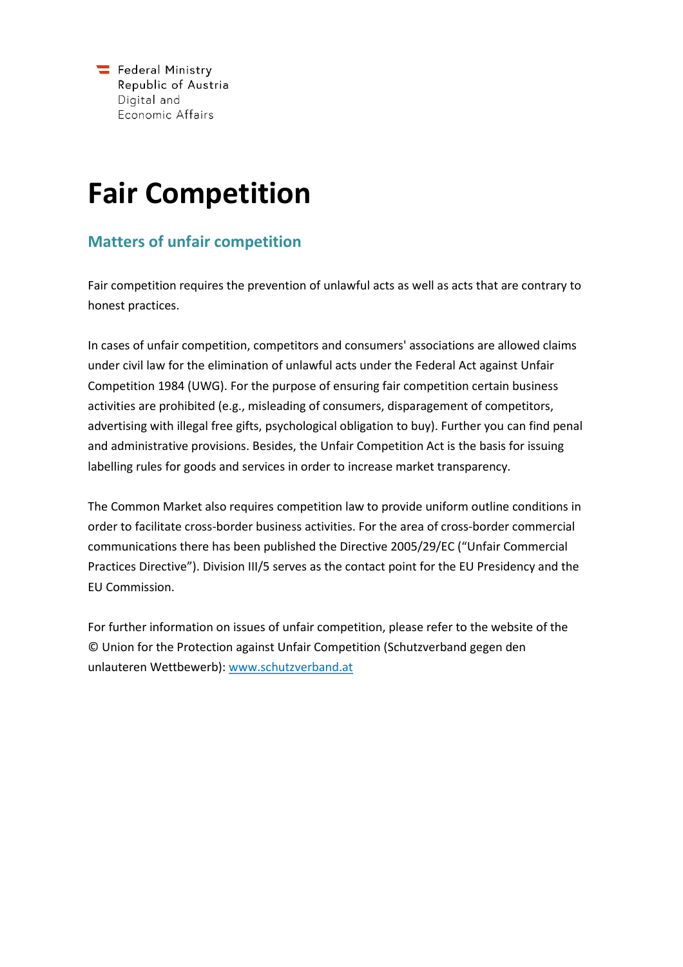## **Fair Competition**

## **Matters of unfair competition**

Fair competition requires the prevention of unlawful acts as well as acts that are contrary to honest practices.

In cases of unfair competition, competitors and consumers' associations are allowed claims under civil law for the elimination of unlawful acts under the Federal Act against Unfair Competition 1984 (UWG). For the purpose of ensuring fair competition certain business activities are prohibited (e.g., misleading of consumers, disparagement of competitors, advertising with illegal free gifts, psychological obligation to buy). Further you can find penal and administrative provisions. Besides, the Unfair Competition Act is the basis for issuing labelling rules for goods and services in order to increase market transparency.

The Common Market also requires competition law to provide uniform outline conditions in order to facilitate cross-border business activities. For the area of cross-border commercial communications there has been published the Directive 2005/29/EC ("Unfair Commercial Practices Directive"). Division III/5 serves as the contact point for the EU Presidency and the EU Commission.

For further information on issues of unfair competition, please refer to the website of the © Union for the Protection against Unfair Competition (Schutzverband gegen den unlauteren Wettbewerb): [www.schutzverband.at](file:///\\BWAVIEVS05\Profiles$\Dolenc.V2\Desktop\www.schutzverband.at)